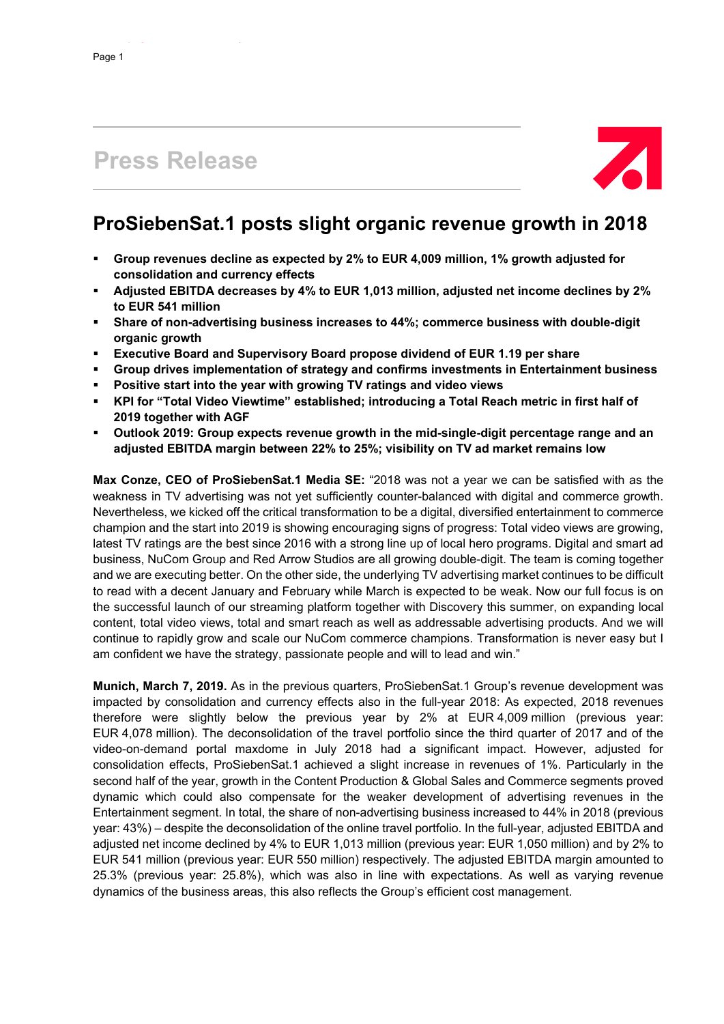# **Press Release**



# **ProSiebenSat.1 posts slight organic revenue growth in 2018**

- **Group revenues decline as expected by 2% to EUR 4,009 million, 1% growth adjusted for consolidation and currency effects**
- **Adjusted EBITDA decreases by 4% to EUR 1,013 million, adjusted net income declines by 2% to EUR 541 million**
- **Share of non-advertising business increases to 44%; commerce business with double-digit organic growth**
- **Executive Board and Supervisory Board propose dividend of EUR 1.19 per share**
- **Group drives implementation of strategy and confirms investments in Entertainment business**
- **Positive start into the year with growing TV ratings and video views**
- **KPI for "Total Video Viewtime" established; introducing a Total Reach metric in first half of 2019 together with AGF**
- **Outlook 2019: Group expects revenue growth in the mid-single-digit percentage range and an adjusted EBITDA margin between 22% to 25%; visibility on TV ad market remains low**

**Max Conze, CEO of ProSiebenSat.1 Media SE:** "2018 was not a year we can be satisfied with as the weakness in TV advertising was not yet sufficiently counter-balanced with digital and commerce growth. Nevertheless, we kicked off the critical transformation to be a digital, diversified entertainment to commerce champion and the start into 2019 is showing encouraging signs of progress: Total video views are growing, latest TV ratings are the best since 2016 with a strong line up of local hero programs. Digital and smart ad business, NuCom Group and Red Arrow Studios are all growing double-digit. The team is coming together and we are executing better. On the other side, the underlying TV advertising market continues to be difficult to read with a decent January and February while March is expected to be weak. Now our full focus is on the successful launch of our streaming platform together with Discovery this summer, on expanding local content, total video views, total and smart reach as well as addressable advertising products. And we will continue to rapidly grow and scale our NuCom commerce champions. Transformation is never easy but I am confident we have the strategy, passionate people and will to lead and win."

**Munich, March 7, 2019.** As in the previous quarters, ProSiebenSat.1 Group's revenue development was impacted by consolidation and currency effects also in the full-year 2018: As expected, 2018 revenues therefore were slightly below the previous year by 2% at EUR 4,009 million (previous year: EUR 4,078 million). The deconsolidation of the travel portfolio since the third quarter of 2017 and of the video-on-demand portal maxdome in July 2018 had a significant impact. However, adjusted for consolidation effects, ProSiebenSat.1 achieved a slight increase in revenues of 1%. Particularly in the second half of the year, growth in the Content Production & Global Sales and Commerce segments proved dynamic which could also compensate for the weaker development of advertising revenues in the Entertainment segment. In total, the share of non-advertising business increased to 44% in 2018 (previous year: 43%) – despite the deconsolidation of the online travel portfolio. In the full-year, adjusted EBITDA and adjusted net income declined by 4% to EUR 1,013 million (previous year: EUR 1,050 million) and by 2% to EUR 541 million (previous year: EUR 550 million) respectively. The adjusted EBITDA margin amounted to 25.3% (previous year: 25.8%), which was also in line with expectations. As well as varying revenue dynamics of the business areas, this also reflects the Group's efficient cost management.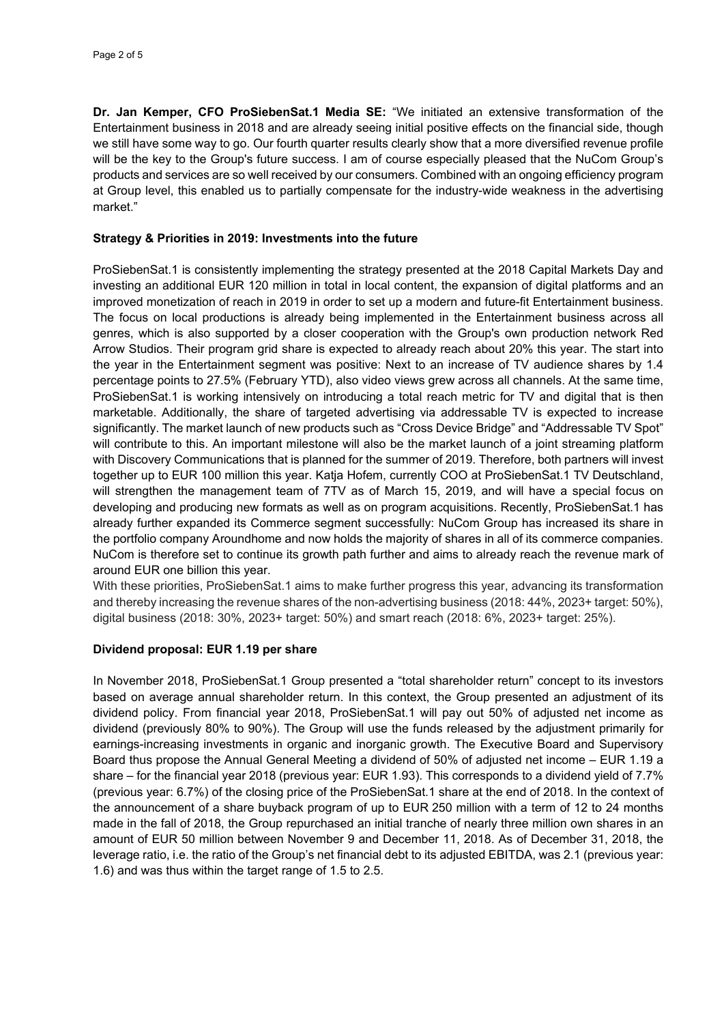**Dr. Jan Kemper, CFO ProSiebenSat.1 Media SE:** "We initiated an extensive transformation of the Entertainment business in 2018 and are already seeing initial positive effects on the financial side, though we still have some way to go. Our fourth quarter results clearly show that a more diversified revenue profile will be the key to the Group's future success. I am of course especially pleased that the NuCom Group's products and services are so well received by our consumers. Combined with an ongoing efficiency program at Group level, this enabled us to partially compensate for the industry-wide weakness in the advertising market."

#### **Strategy & Priorities in 2019: Investments into the future**

ProSiebenSat.1 is consistently implementing the strategy presented at the 2018 Capital Markets Day and investing an additional EUR 120 million in total in local content, the expansion of digital platforms and an improved monetization of reach in 2019 in order to set up a modern and future-fit Entertainment business. The focus on local productions is already being implemented in the Entertainment business across all genres, which is also supported by a closer cooperation with the Group's own production network Red Arrow Studios. Their program grid share is expected to already reach about 20% this year. The start into the year in the Entertainment segment was positive: Next to an increase of TV audience shares by 1.4 percentage points to 27.5% (February YTD), also video views grew across all channels. At the same time, ProSiebenSat.1 is working intensively on introducing a total reach metric for TV and digital that is then marketable. Additionally, the share of targeted advertising via addressable TV is expected to increase significantly. The market launch of new products such as "Cross Device Bridge" and "Addressable TV Spot" will contribute to this. An important milestone will also be the market launch of a joint streaming platform with Discovery Communications that is planned for the summer of 2019. Therefore, both partners will invest together up to EUR 100 million this year. Katja Hofem, currently COO at ProSiebenSat.1 TV Deutschland, will strengthen the management team of 7TV as of March 15, 2019, and will have a special focus on developing and producing new formats as well as on program acquisitions. Recently, ProSiebenSat.1 has already further expanded its Commerce segment successfully: NuCom Group has increased its share in the portfolio company Aroundhome and now holds the majority of shares in all of its commerce companies. NuCom is therefore set to continue its growth path further and aims to already reach the revenue mark of around EUR one billion this year.

With these priorities, ProSiebenSat.1 aims to make further progress this year, advancing its transformation and thereby increasing the revenue shares of the non-advertising business (2018: 44%, 2023+ target: 50%), digital business (2018: 30%, 2023+ target: 50%) and smart reach (2018: 6%, 2023+ target: 25%).

#### **Dividend proposal: EUR 1.19 per share**

In November 2018, ProSiebenSat.1 Group presented a "total shareholder return" concept to its investors based on average annual shareholder return. In this context, the Group presented an adjustment of its dividend policy. From financial year 2018, ProSiebenSat.1 will pay out 50% of adjusted net income as dividend (previously 80% to 90%). The Group will use the funds released by the adjustment primarily for earnings-increasing investments in organic and inorganic growth. The Executive Board and Supervisory Board thus propose the Annual General Meeting a dividend of 50% of adjusted net income – EUR 1.19 a share – for the financial year 2018 (previous year: EUR 1.93). This corresponds to a dividend yield of 7.7% (previous year: 6.7%) of the closing price of the ProSiebenSat.1 share at the end of 2018. In the context of the announcement of a share buyback program of up to EUR 250 million with a term of 12 to 24 months made in the fall of 2018, the Group repurchased an initial tranche of nearly three million own shares in an amount of EUR 50 million between November 9 and December 11, 2018. As of December 31, 2018, the leverage ratio, i.e. the ratio of the Group's net financial debt to its adjusted EBITDA, was 2.1 (previous year: 1.6) and was thus within the target range of 1.5 to 2.5.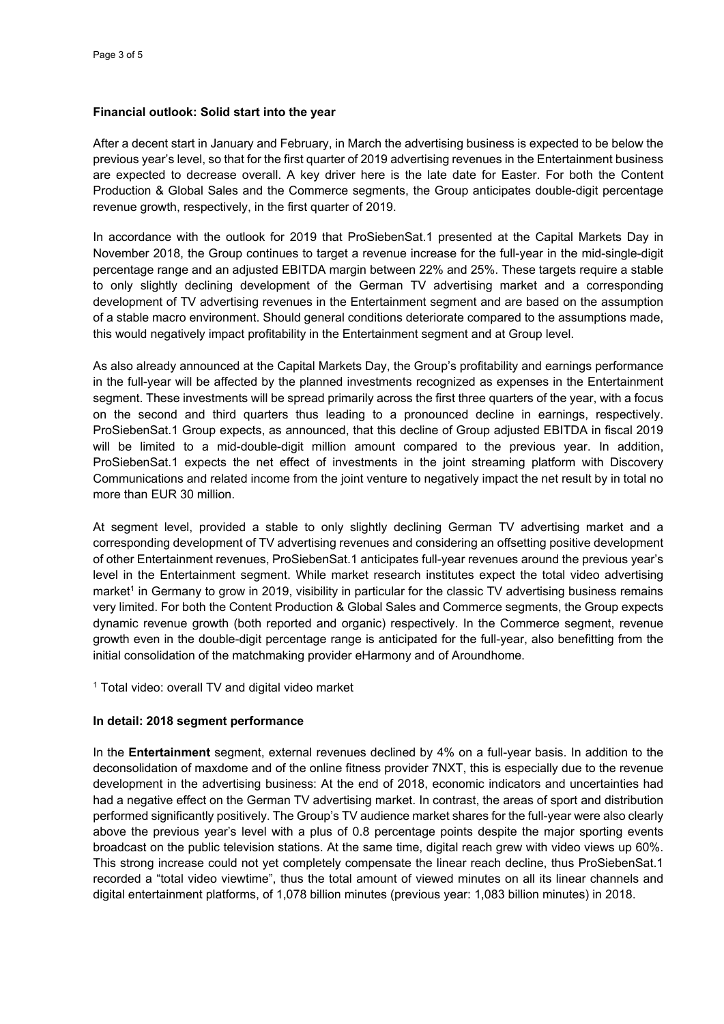#### **Financial outlook: Solid start into the year**

After a decent start in January and February, in March the advertising business is expected to be below the previous year's level, so that for the first quarter of 2019 advertising revenues in the Entertainment business are expected to decrease overall. A key driver here is the late date for Easter. For both the Content Production & Global Sales and the Commerce segments, the Group anticipates double-digit percentage revenue growth, respectively, in the first quarter of 2019.

In accordance with the outlook for 2019 that ProSiebenSat.1 presented at the Capital Markets Day in November 2018, the Group continues to target a revenue increase for the full-year in the mid-single-digit percentage range and an adjusted EBITDA margin between 22% and 25%. These targets require a stable to only slightly declining development of the German TV advertising market and a corresponding development of TV advertising revenues in the Entertainment segment and are based on the assumption of a stable macro environment. Should general conditions deteriorate compared to the assumptions made, this would negatively impact profitability in the Entertainment segment and at Group level.

As also already announced at the Capital Markets Day, the Group's profitability and earnings performance in the full-year will be affected by the planned investments recognized as expenses in the Entertainment segment. These investments will be spread primarily across the first three quarters of the year, with a focus on the second and third quarters thus leading to a pronounced decline in earnings, respectively. ProSiebenSat.1 Group expects, as announced, that this decline of Group adjusted EBITDA in fiscal 2019 will be limited to a mid-double-digit million amount compared to the previous year. In addition, ProSiebenSat.1 expects the net effect of investments in the joint streaming platform with Discovery Communications and related income from the joint venture to negatively impact the net result by in total no more than EUR 30 million.

At segment level, provided a stable to only slightly declining German TV advertising market and a corresponding development of TV advertising revenues and considering an offsetting positive development of other Entertainment revenues, ProSiebenSat.1 anticipates full-year revenues around the previous year's level in the Entertainment segment. While market research institutes expect the total video advertising market<sup>1</sup> in Germany to grow in 2019, visibility in particular for the classic TV advertising business remains very limited. For both the Content Production & Global Sales and Commerce segments, the Group expects dynamic revenue growth (both reported and organic) respectively. In the Commerce segment, revenue growth even in the double-digit percentage range is anticipated for the full-year, also benefitting from the initial consolidation of the matchmaking provider eHarmony and of Aroundhome.

 $1$  Total video: overall TV and digital video market

## **In detail: 2018 segment performance**

In the **Entertainment** segment, external revenues declined by 4% on a full-year basis. In addition to the deconsolidation of maxdome and of the online fitness provider 7NXT, this is especially due to the revenue development in the advertising business: At the end of 2018, economic indicators and uncertainties had had a negative effect on the German TV advertising market. In contrast, the areas of sport and distribution performed significantly positively. The Group's TV audience market shares for the full-year were also clearly above the previous year's level with a plus of 0.8 percentage points despite the major sporting events broadcast on the public television stations. At the same time, digital reach grew with video views up 60%. This strong increase could not yet completely compensate the linear reach decline, thus ProSiebenSat.1 recorded a "total video viewtime", thus the total amount of viewed minutes on all its linear channels and digital entertainment platforms, of 1,078 billion minutes (previous year: 1,083 billion minutes) in 2018.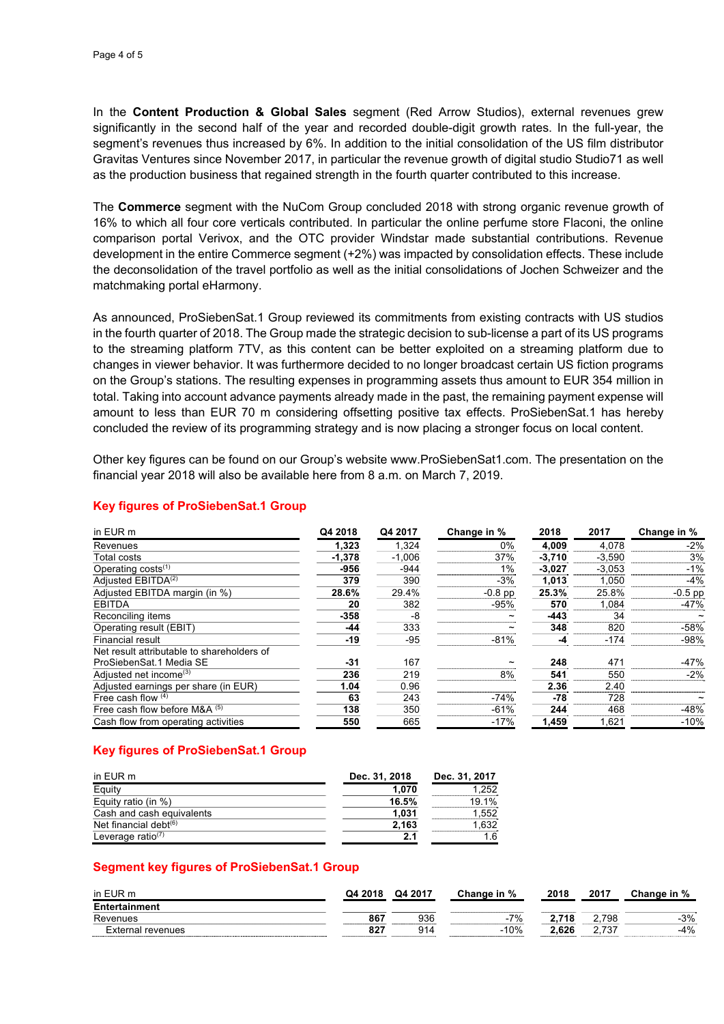In the **Content Production & Global Sales** segment (Red Arrow Studios), external revenues grew significantly in the second half of the year and recorded double-digit growth rates. In the full-year, the segment's revenues thus increased by 6%. In addition to the initial consolidation of the US film distributor Gravitas Ventures since November 2017, in particular the revenue growth of digital studio Studio71 as well as the production business that regained strength in the fourth quarter contributed to this increase.

The **Commerce** segment with the NuCom Group concluded 2018 with strong organic revenue growth of 16% to which all four core verticals contributed. In particular the online perfume store Flaconi, the online comparison portal Verivox, and the OTC provider Windstar made substantial contributions. Revenue development in the entire Commerce segment (+2%) was impacted by consolidation effects. These include the deconsolidation of the travel portfolio as well as the initial consolidations of Jochen Schweizer and the matchmaking portal eHarmony.

As announced, ProSiebenSat.1 Group reviewed its commitments from existing contracts with US studios in the fourth quarter of 2018. The Group made the strategic decision to sub-license a part of its US programs to the streaming platform 7TV, as this content can be better exploited on a streaming platform due to changes in viewer behavior. It was furthermore decided to no longer broadcast certain US fiction programs on the Group's stations. The resulting expenses in programming assets thus amount to EUR 354 million in total. Taking into account advance payments already made in the past, the remaining payment expense will amount to less than EUR 70 m considering offsetting positive tax effects. ProSiebenSat.1 has hereby concluded the review of its programming strategy and is now placing a stronger focus on local content.

Other key figures can be found on our Group's website www.ProSiebenSat1.com. The presentation on the financial year 2018 will also be available here from 8 a.m. on March 7, 2019.

| in EUR m                                   | Q4 2018  | Q4 2017  | Change in % | 2018     | 2017     | Change in % |
|--------------------------------------------|----------|----------|-------------|----------|----------|-------------|
| Revenues                                   | 1,323    | 1,324    | $0\%$       | 4,009    | 4,078    | $-2%$       |
| Total costs                                | $-1,378$ | $-1,006$ | 37%         | $-3,710$ | $-3,590$ | 3%          |
| Operating $costs^{(1)}$                    | -956     | $-944$   | 1%          | $-3,027$ | $-3,053$ | $-1%$       |
| Adjusted EBITDA <sup>(2)</sup>             | 379      | 390      | $-3%$       | 1,013    | 1,050    | $-4%$       |
| Adjusted EBITDA margin (in %)              | 28.6%    | 29.4%    | $-0.8$ pp   | 25.3%    | 25.8%    | $-0.5$ pp   |
| <b>EBITDA</b>                              | 20       | 382      | $-95%$      | 570      | 1.084    | $-47%$      |
| Reconciling items                          | $-358$   | -8       |             | $-443$   | 34       |             |
| Operating result (EBIT)                    | -44      | 333      |             | 348      | 820      | $-58%$      |
| Financial result                           | -19      | $-95$    | $-81%$      | -4       | $-174$   | $-98%$      |
| Net result attributable to shareholders of |          |          |             |          |          |             |
| ProSiebenSat.1 Media SE                    | -31      | 167      |             | 248      | 471      | $-47%$      |
| Adjusted net income <sup>(3)</sup>         | 236      | 219      | 8%          | 541      | 550      | $-2%$       |
| Adjusted earnings per share (in EUR)       | 1.04     | 0.96     |             | 2.36     | 2.40     |             |
| Free cash flow $(4)$                       | 63       | 243      | $-74%$      | -78      | 728      |             |
| Free cash flow before M&A $(5)$            | 138      | 350      | $-61%$      | 244      | 468      | $-48%$      |
| Cash flow from operating activities        | 550      | 665      | $-17%$      | 1.459    | 1,621    | $-10%$      |

#### **Key figures of ProSiebenSat.1 Group**

## **Key figures of ProSiebenSat.1 Group**

| in EUR m                      | Dec. 31, 2018 | Dec. 31, 2017 |  |  |
|-------------------------------|---------------|---------------|--|--|
| Equity                        | 1.070         | 1.252         |  |  |
| Equity ratio (in %)           | 16.5%         | 19.1%         |  |  |
| Cash and cash equivalents     | 1.031         | 1.552         |  |  |
| Net financial debt $(6)$      | 2,163         | .632          |  |  |
| Leverage ratio <sup>(7)</sup> | 2.1           | 1.6           |  |  |

## **Segment key figures of ProSiebenSat.1 Group**

| in EUR m                 | Q4 2018 | Q4 2017 | Change in % | 2018  | 2017  | Change in |
|--------------------------|---------|---------|-------------|-------|-------|-----------|
| Entertainment            |         |         |             |       |       |           |
| Revenues                 | 867     | 936     | $-7%$       | 2.718 | .798  | $-3%$     |
| <b>External revenues</b> | 827     | 914     | $-10%$      | 2.626 | 2.737 | $-4%$     |